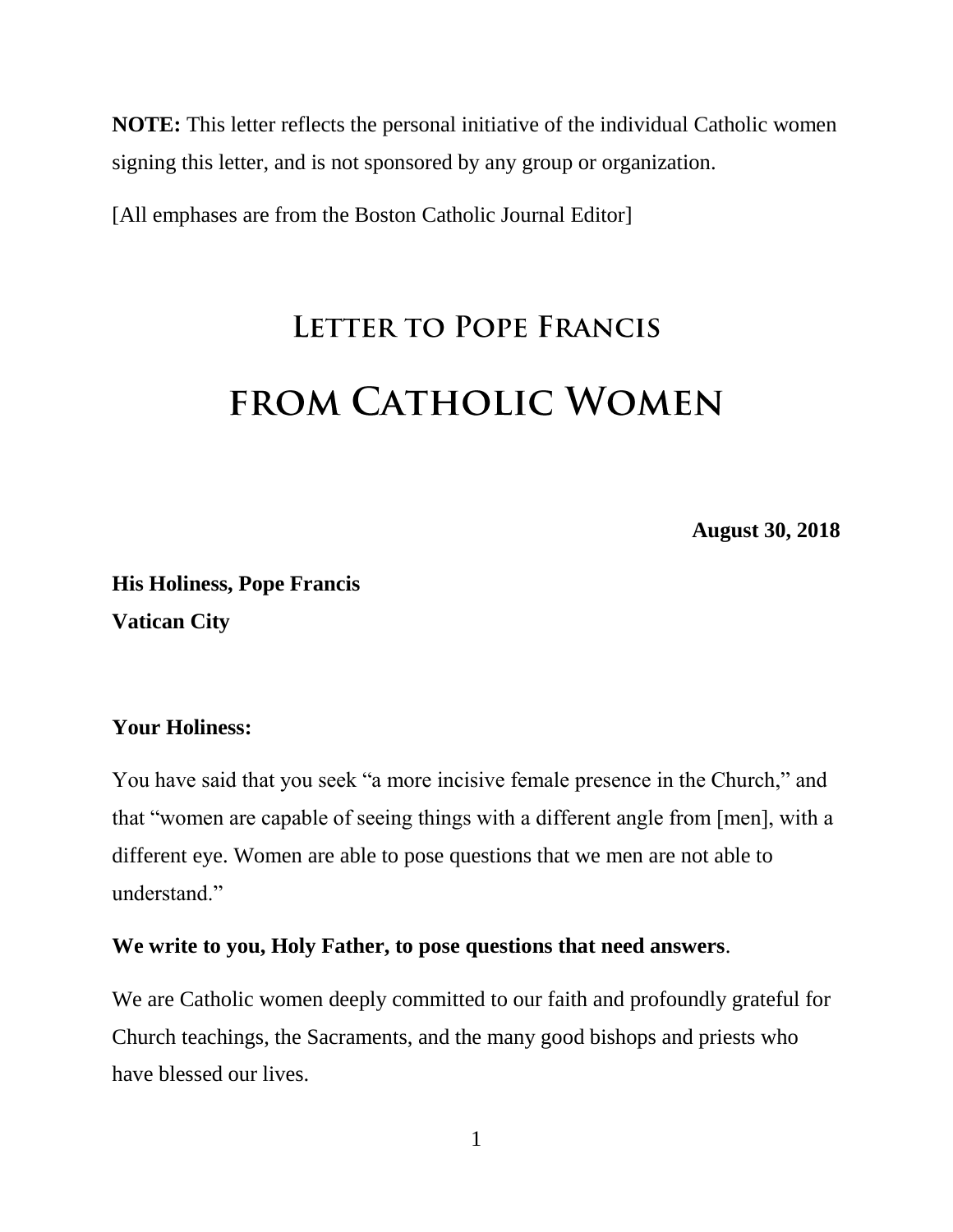**NOTE:** This letter reflects the personal initiative of the individual Catholic women signing this letter, and is not sponsored by any group or organization.

[All emphases are from the Boston Catholic Journal Editor]

## LETTER TO POPE FRANCIS **FROM CATHOLIC WOMEN**

**August 30, 2018**

**His Holiness, Pope Francis Vatican City**

## **Your Holiness:**

You have said that you seek "a more incisive female presence in the Church," and that "women are capable of seeing things with a different angle from [men], with a different eye. Women are able to pose questions that we men are not able to understand."

## **We write to you, Holy Father, to pose questions that need answers**.

We are Catholic women deeply committed to our faith and profoundly grateful for Church teachings, the Sacraments, and the many good bishops and priests who have blessed our lives.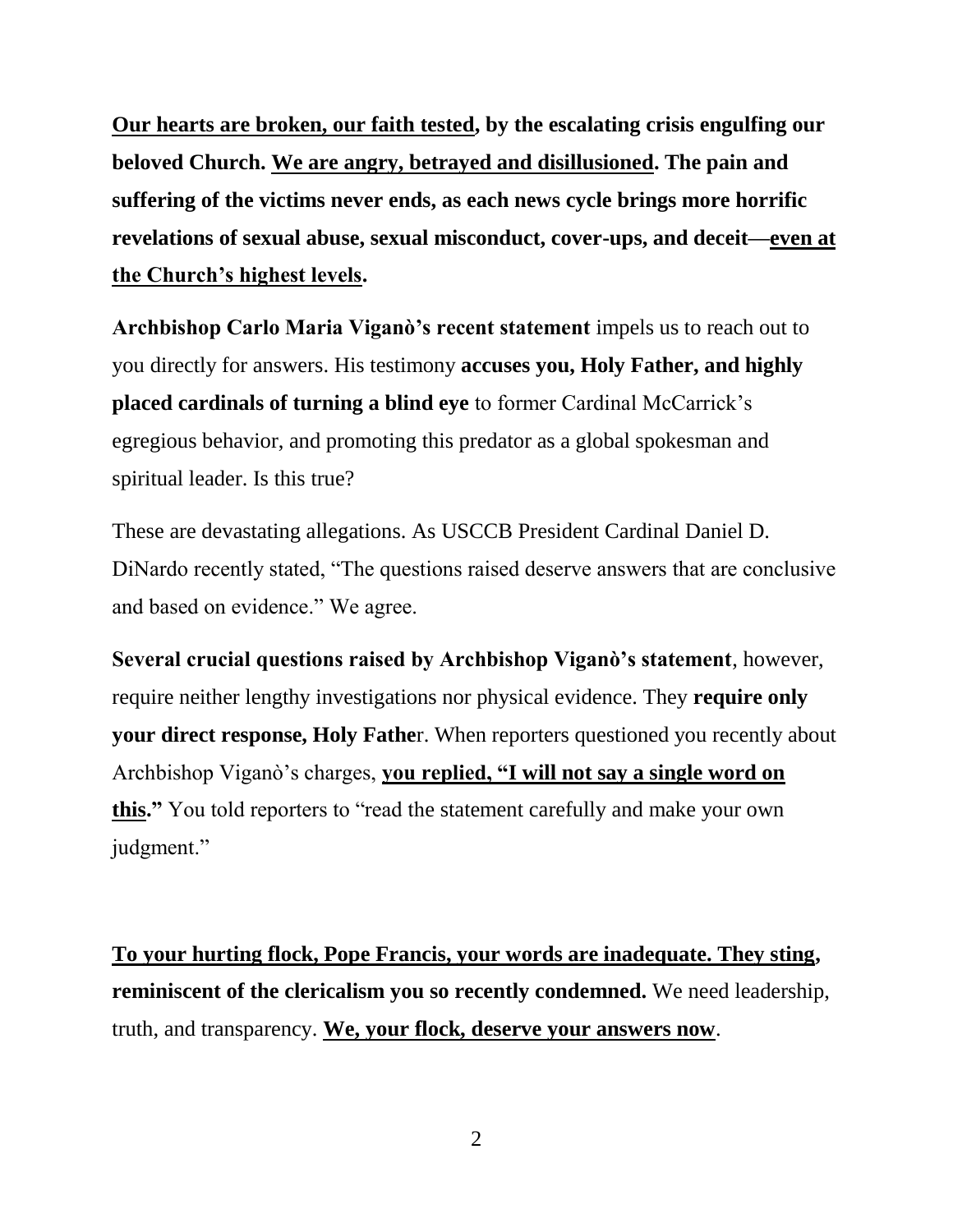**Our hearts are broken, our faith tested, by the escalating crisis engulfing our beloved Church. We are angry, betrayed and disillusioned. The pain and suffering of the victims never ends, as each news cycle brings more horrific revelations of sexual abuse, sexual misconduct, cover-ups, and deceit—even at the Church's highest levels.**

**Archbishop Carlo Maria Viganò's recent statement** impels us to reach out to you directly for answers. His testimony **accuses you, Holy Father, and highly placed cardinals of turning a blind eye** to former Cardinal McCarrick's egregious behavior, and promoting this predator as a global spokesman and spiritual leader. Is this true?

These are devastating allegations. As USCCB President Cardinal Daniel D. DiNardo recently stated, "The questions raised deserve answers that are conclusive and based on evidence." We agree.

**Several crucial questions raised by Archbishop Viganò's statement**, however, require neither lengthy investigations nor physical evidence. They **require only your direct response, Holy Fathe**r. When reporters questioned you recently about Archbishop Viganò's charges, **you replied, "I will not say a single word on this."** You told reporters to "read the statement carefully and make your own judgment."

**To your hurting flock, Pope Francis, your words are inadequate. They sting, reminiscent of the clericalism you so recently condemned.** We need leadership, truth, and transparency. **We, your flock, deserve your answers now**.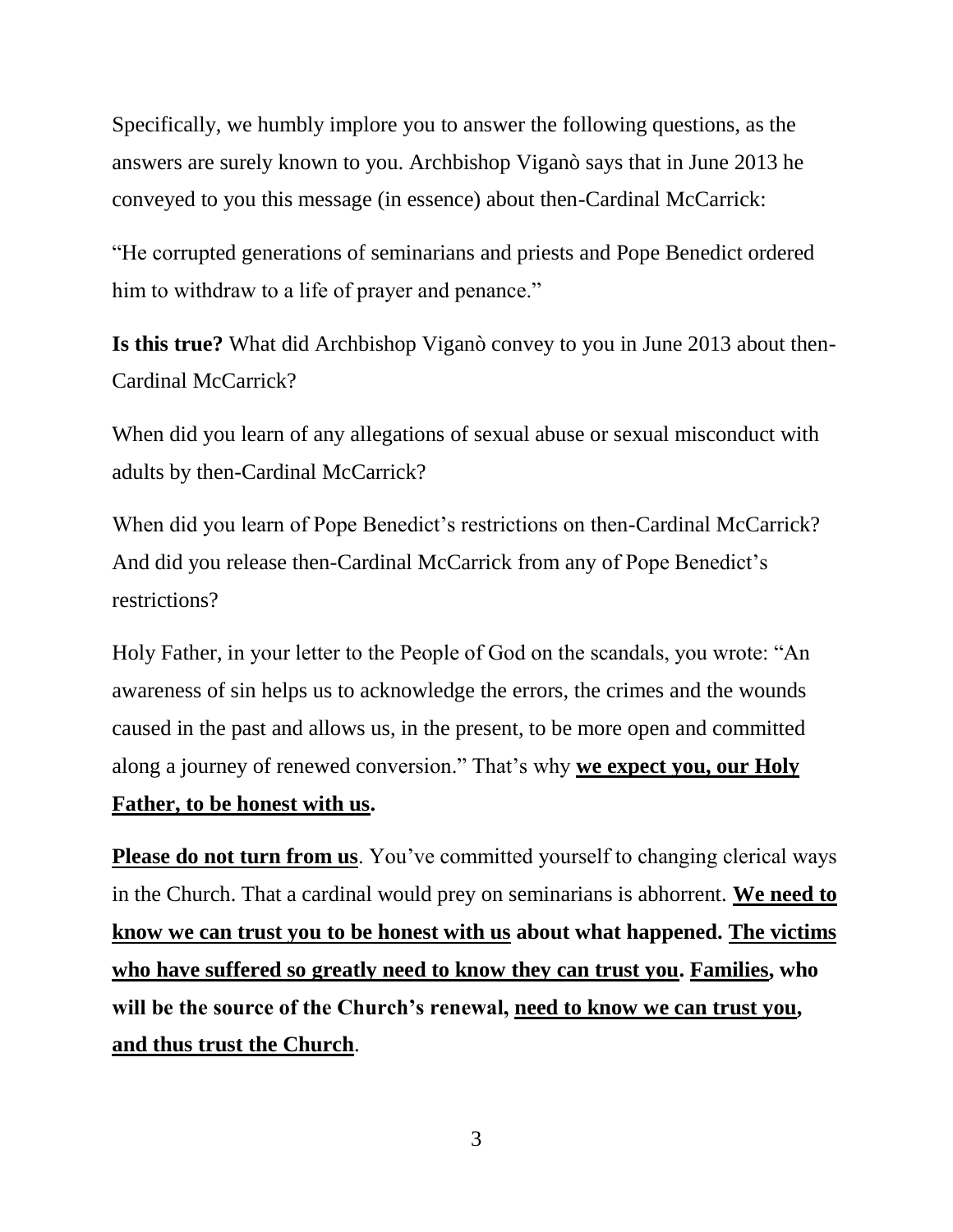Specifically, we humbly implore you to answer the following questions, as the answers are surely known to you. Archbishop Viganò says that in June 2013 he conveyed to you this message (in essence) about then-Cardinal McCarrick:

"He corrupted generations of seminarians and priests and Pope Benedict ordered him to withdraw to a life of prayer and penance."

**Is this true?** What did Archbishop Viganò convey to you in June 2013 about then-Cardinal McCarrick?

When did you learn of any allegations of sexual abuse or sexual misconduct with adults by then-Cardinal McCarrick?

When did you learn of Pope Benedict's restrictions on then-Cardinal McCarrick? And did you release then-Cardinal McCarrick from any of Pope Benedict's restrictions?

Holy Father, in your letter to the People of God on the scandals, you wrote: "An awareness of sin helps us to acknowledge the errors, the crimes and the wounds caused in the past and allows us, in the present, to be more open and committed along a journey of renewed conversion." That's why **we expect you, our Holy Father, to be honest with us.**

**Please do not turn from us.** You've committed yourself to changing clerical ways in the Church. That a cardinal would prey on seminarians is abhorrent. **We need to know we can trust you to be honest with us about what happened. The victims who have suffered so greatly need to know they can trust you. Families, who will be the source of the Church's renewal, need to know we can trust you, and thus trust the Church**.

3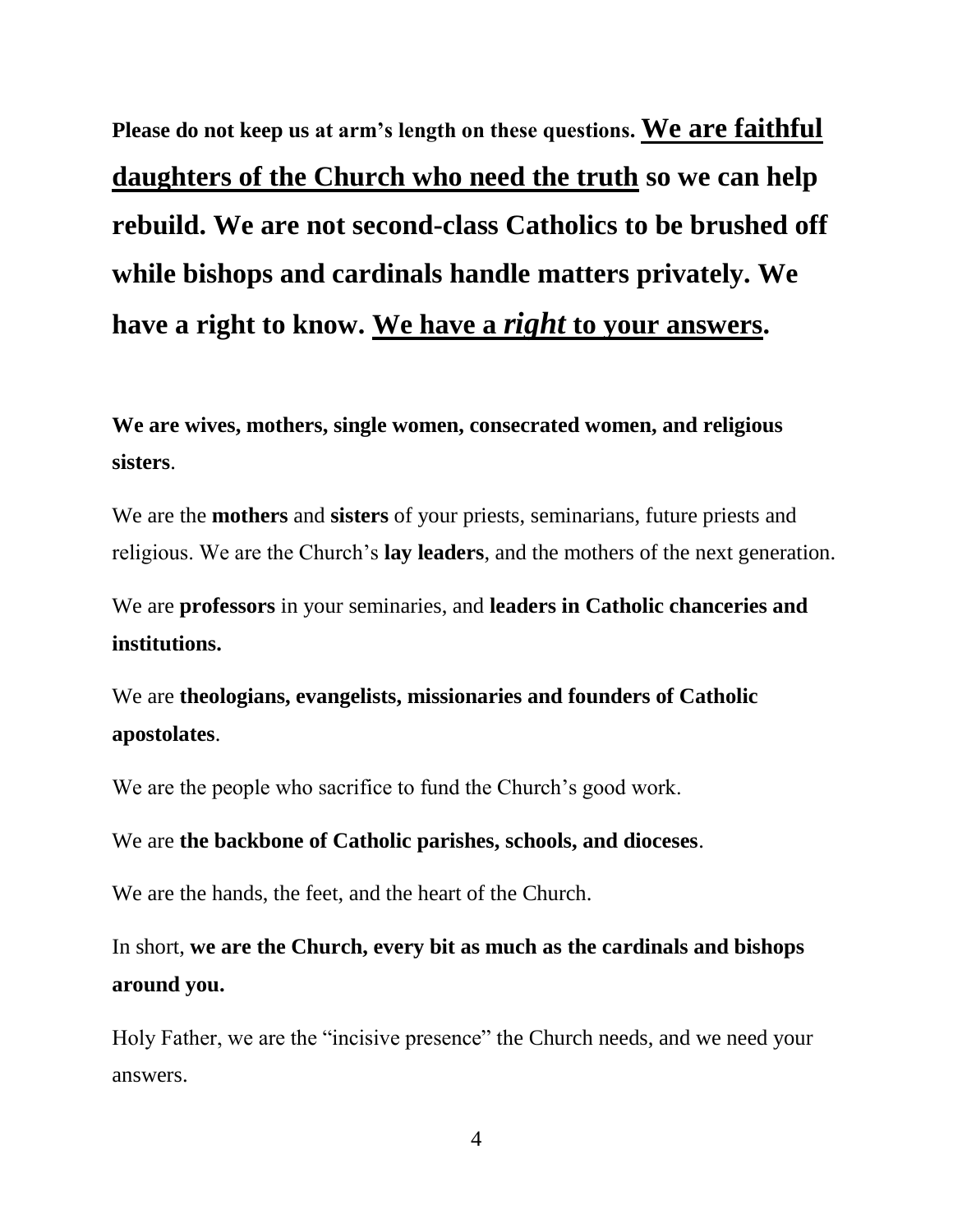**Please do not keep us at arm's length on these questions. We are faithful daughters of the Church who need the truth so we can help rebuild. We are not second-class Catholics to be brushed off while bishops and cardinals handle matters privately. We have a right to know. We have a** *right* **to your answers.**

**We are wives, mothers, single women, consecrated women, and religious sisters**.

We are the **mothers** and **sisters** of your priests, seminarians, future priests and religious. We are the Church's **lay leaders**, and the mothers of the next generation.

We are **professors** in your seminaries, and **leaders in Catholic chanceries and institutions.**

We are **theologians, evangelists, missionaries and founders of Catholic apostolates**.

We are the people who sacrifice to fund the Church's good work.

We are **the backbone of Catholic parishes, schools, and dioceses**.

We are the hands, the feet, and the heart of the Church.

In short, **we are the Church, every bit as much as the cardinals and bishops around you.**

Holy Father, we are the "incisive presence" the Church needs, and we need your answers.